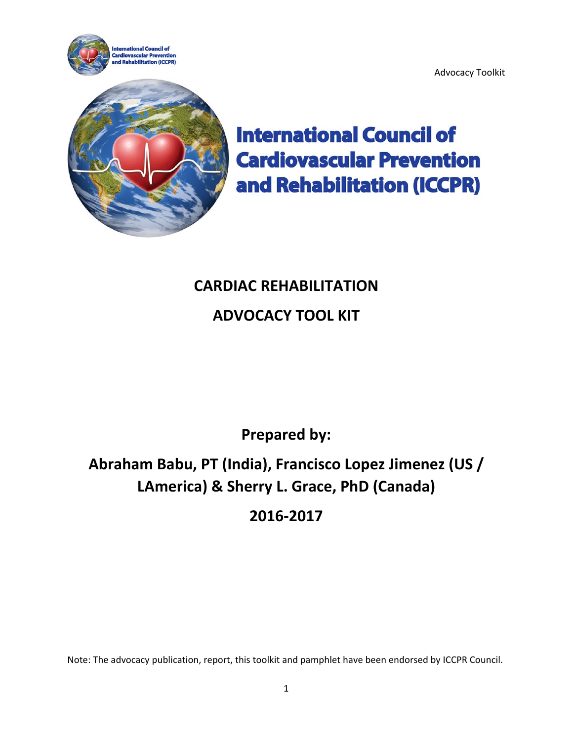

**International Council of Cardiovascular Prevention** and Rehabilitation (ICCPR)

Advocacy Toolkit

# **CARDIAC REHABILITATION ADVOCACY TOOL KIT**

**Prepared by:** 

# **Abraham Babu, PT (India), Francisco Lopez Jimenez (US / LAmerica) & Sherry L. Grace, PhD (Canada)**

**2016‐2017**

Note: The advocacy publication, report, this toolkit and pamphlet have been endorsed by ICCPR Council.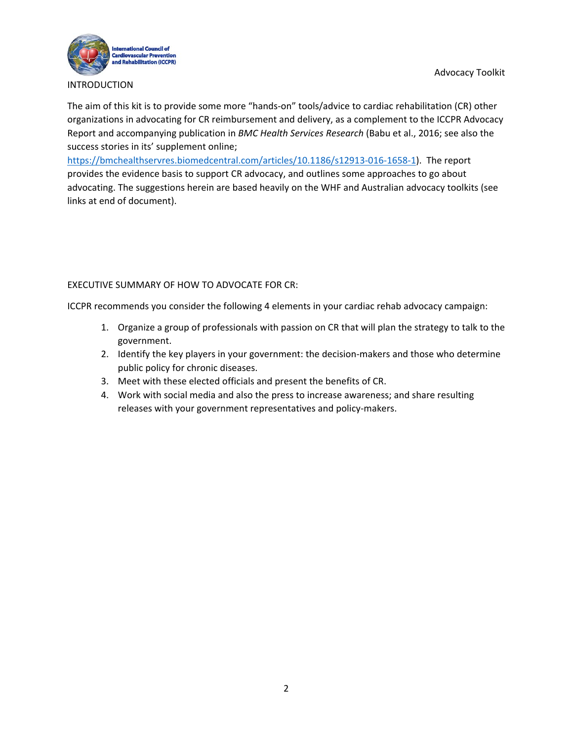Advocacy Toolkit



### INTRODUCTION

The aim of this kit is to provide some more "hands-on" tools/advice to cardiac rehabilitation (CR) other organizations in advocating for CR reimbursement and delivery, as a complement to the ICCPR Advocacy Report and accompanying publication in *BMC Health Services Research* (Babu et al., 2016; see also the success stories in its' supplement online;

https://bmchealthservres.biomedcentral.com/articles/10.1186/s12913‐016‐1658‐1). The report provides the evidence basis to support CR advocacy, and outlines some approaches to go about advocating. The suggestions herein are based heavily on the WHF and Australian advocacy toolkits (see links at end of document).

### EXECUTIVE SUMMARY OF HOW TO ADVOCATE FOR CR:

ICCPR recommends you consider the following 4 elements in your cardiac rehab advocacy campaign:

- 1. Organize a group of professionals with passion on CR that will plan the strategy to talk to the government.
- 2. Identify the key players in your government: the decision-makers and those who determine public policy for chronic diseases.
- 3. Meet with these elected officials and present the benefits of CR.
- 4. Work with social media and also the press to increase awareness; and share resulting releases with your government representatives and policy-makers.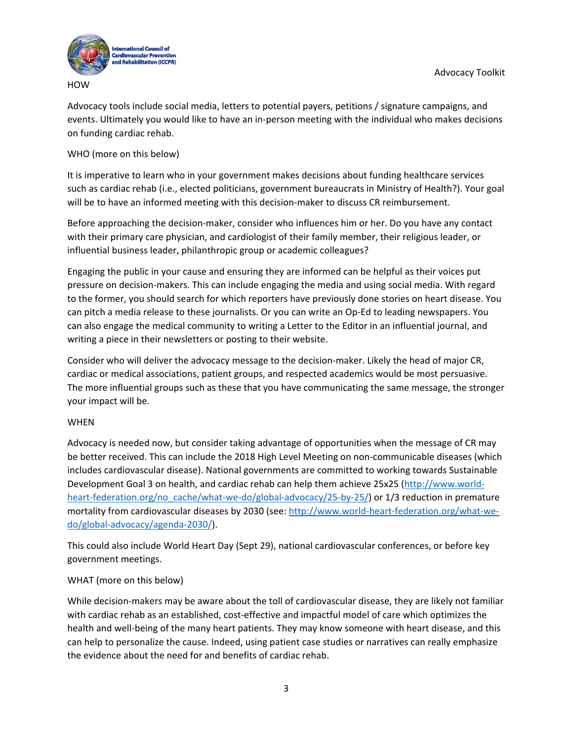

**HOW** 

Advocacy tools include social media, letters to potential payers, petitions / signature campaigns, and events. Ultimately you would like to have an in‐person meeting with the individual who makes decisions on funding cardiac rehab.

## WHO (more on this below)

It is imperative to learn who in your government makes decisions about funding healthcare services such as cardiac rehab (i.e., elected politicians, government bureaucrats in Ministry of Health?). Your goal will be to have an informed meeting with this decision-maker to discuss CR reimbursement.

Before approaching the decision-maker, consider who influences him or her. Do you have any contact with their primary care physician, and cardiologist of their family member, their religious leader, or influential business leader, philanthropic group or academic colleagues?

Engaging the public in your cause and ensuring they are informed can be helpful as their voices put pressure on decision‐makers. This can include engaging the media and using social media. With regard to the former, you should search for which reporters have previously done stories on heart disease. You can pitch a media release to these journalists. Or you can write an Op‐Ed to leading newspapers. You can also engage the medical community to writing a Letter to the Editor in an influential journal, and writing a piece in their newsletters or posting to their website.

Consider who will deliver the advocacy message to the decision‐maker. Likely the head of major CR, cardiac or medical associations, patient groups, and respected academics would be most persuasive. The more influential groups such as these that you have communicating the same message, the stronger your impact will be.

## WHEN

Advocacy is needed now, but consider taking advantage of opportunities when the message of CR may be better received. This can include the 2018 High Level Meeting on non-communicable diseases (which includes cardiovascular disease). National governments are committed to working towards Sustainable Development Goal 3 on health, and cardiac rehab can help them achieve 25x25 (http://www.world‐ heart-federation.org/no\_cache/what-we-do/global-advocacy/25-by-25/) or 1/3 reduction in premature mortality from cardiovascular diseases by 2030 (see: http://www.world-heart-federation.org/what-wedo/global‐advocacy/agenda‐2030/).

This could also include World Heart Day (Sept 29), national cardiovascular conferences, or before key government meetings.

## WHAT (more on this below)

While decision-makers may be aware about the toll of cardiovascular disease, they are likely not familiar with cardiac rehab as an established, cost-effective and impactful model of care which optimizes the health and well‐being of the many heart patients. They may know someone with heart disease, and this can help to personalize the cause. Indeed, using patient case studies or narratives can really emphasize the evidence about the need for and benefits of cardiac rehab.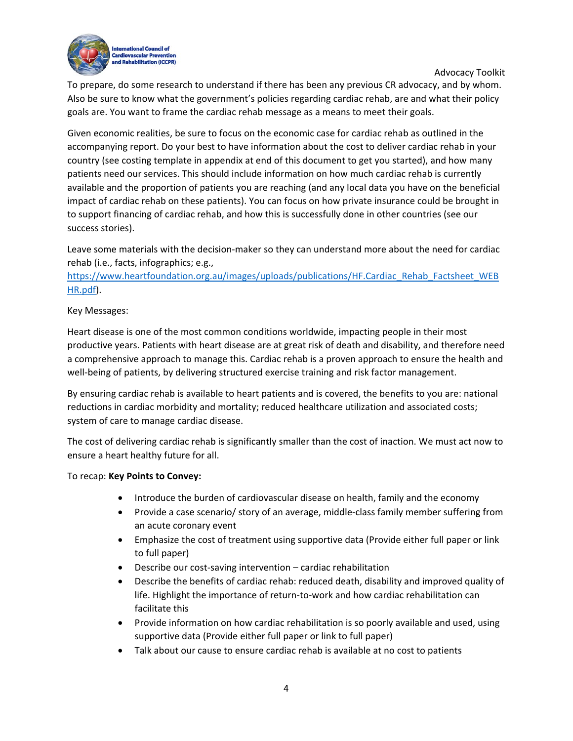Advocacy Toolkit



To prepare, do some research to understand if there has been any previous CR advocacy, and by whom. Also be sure to know what the government's policies regarding cardiac rehab, are and what their policy goals are. You want to frame the cardiac rehab message as a means to meet their goals.

Given economic realities, be sure to focus on the economic case for cardiac rehab as outlined in the accompanying report. Do your best to have information about the cost to deliver cardiac rehab in your country (see costing template in appendix at end of this document to get you started), and how many patients need our services. This should include information on how much cardiac rehab is currently available and the proportion of patients you are reaching (and any local data you have on the beneficial impact of cardiac rehab on these patients). You can focus on how private insurance could be brought in to support financing of cardiac rehab, and how this is successfully done in other countries (see our success stories).

Leave some materials with the decision-maker so they can understand more about the need for cardiac rehab (i.e., facts, infographics; e.g.,

https://www.heartfoundation.org.au/images/uploads/publications/HF.Cardiac\_Rehab\_Factsheet\_WEB HR.pdf).

## Key Messages:

Heart disease is one of the most common conditions worldwide, impacting people in their most productive years. Patients with heart disease are at great risk of death and disability, and therefore need a comprehensive approach to manage this. Cardiac rehab is a proven approach to ensure the health and well-being of patients, by delivering structured exercise training and risk factor management.

By ensuring cardiac rehab is available to heart patients and is covered, the benefits to you are: national reductions in cardiac morbidity and mortality; reduced healthcare utilization and associated costs; system of care to manage cardiac disease.

The cost of delivering cardiac rehab is significantly smaller than the cost of inaction. We must act now to ensure a heart healthy future for all.

## To recap: **Key Points to Convey:**

- Introduce the burden of cardiovascular disease on health, family and the economy
- Provide a case scenario/ story of an average, middle-class family member suffering from an acute coronary event
- Emphasize the cost of treatment using supportive data (Provide either full paper or link to full paper)
- Describe our cost-saving intervention cardiac rehabilitation
- Describe the benefits of cardiac rehab: reduced death, disability and improved quality of life. Highlight the importance of return‐to‐work and how cardiac rehabilitation can facilitate this
- Provide information on how cardiac rehabilitation is so poorly available and used, using supportive data (Provide either full paper or link to full paper)
- Talk about our cause to ensure cardiac rehab is available at no cost to patients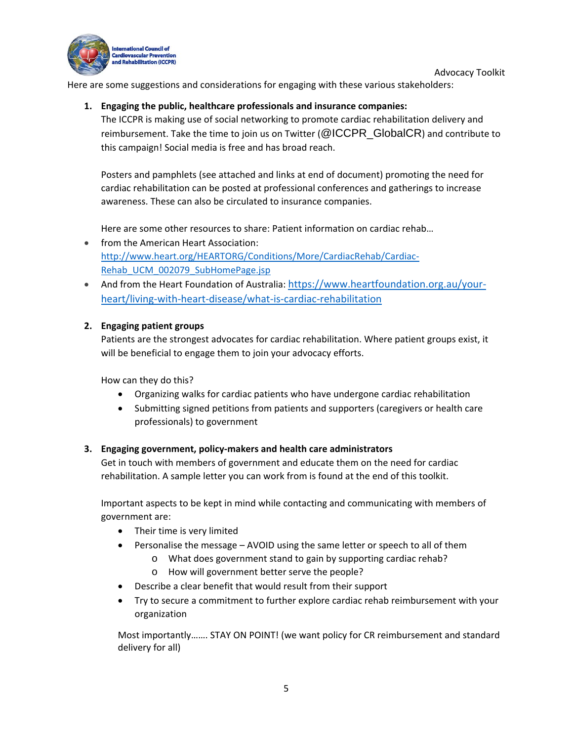



Here are some suggestions and considerations for engaging with these various stakeholders:

# **1. Engaging the public, healthcare professionals and insurance companies:**

The ICCPR is making use of social networking to promote cardiac rehabilitation delivery and reimbursement. Take the time to join us on Twitter (@ICCPR\_GlobalCR) and contribute to this campaign! Social media is free and has broad reach.

Posters and pamphlets (see attached and links at end of document) promoting the need for cardiac rehabilitation can be posted at professional conferences and gatherings to increase awareness. These can also be circulated to insurance companies.

Here are some other resources to share: Patient information on cardiac rehab…

- from the American Heart Association: http://www.heart.org/HEARTORG/Conditions/More/CardiacRehab/Cardiac‐ Rehab\_UCM\_002079\_SubHomePage.jsp
- And from the Heart Foundation of Australia: https://www.heartfoundation.org.au/yourheart/living‐with‐heart‐disease/what‐is‐cardiac‐rehabilitation

# **2. Engaging patient groups**

Patients are the strongest advocates for cardiac rehabilitation. Where patient groups exist, it will be beneficial to engage them to join your advocacy efforts.

How can they do this?

- Organizing walks for cardiac patients who have undergone cardiac rehabilitation
- Submitting signed petitions from patients and supporters (caregivers or health care professionals) to government

# **3. Engaging government, policy‐makers and health care administrators**

Get in touch with members of government and educate them on the need for cardiac rehabilitation. A sample letter you can work from is found at the end of this toolkit.

Important aspects to be kept in mind while contacting and communicating with members of government are:

- Their time is very limited
- Personalise the message AVOID using the same letter or speech to all of them
	- o What does government stand to gain by supporting cardiac rehab?
	- o How will government better serve the people?
- Describe a clear benefit that would result from their support
- Try to secure a commitment to further explore cardiac rehab reimbursement with your organization

Most importantly……. STAY ON POINT! (we want policy for CR reimbursement and standard delivery for all)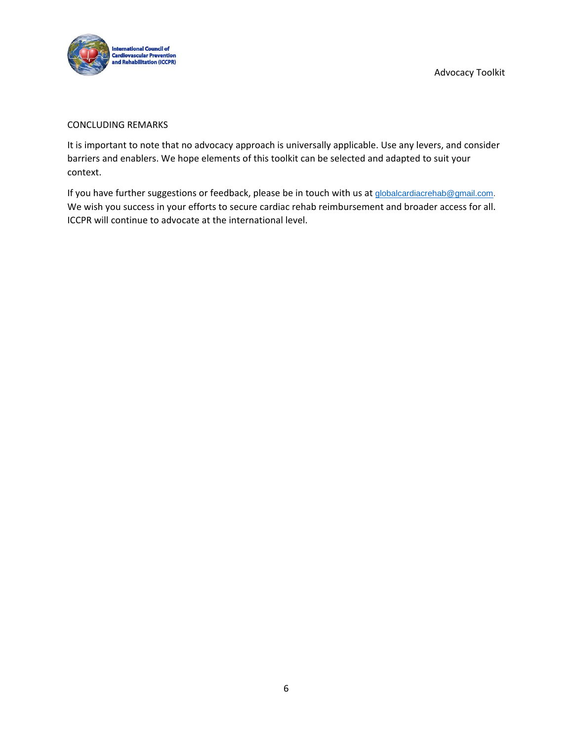

#### CONCLUDING REMARKS

It is important to note that no advocacy approach is universally applicable. Use any levers, and consider barriers and enablers. We hope elements of this toolkit can be selected and adapted to suit your context.

If you have further suggestions or feedback, please be in touch with us at globalcardiacrehab@gmail.com. We wish you success in your efforts to secure cardiac rehab reimbursement and broader access for all. ICCPR will continue to advocate at the international level.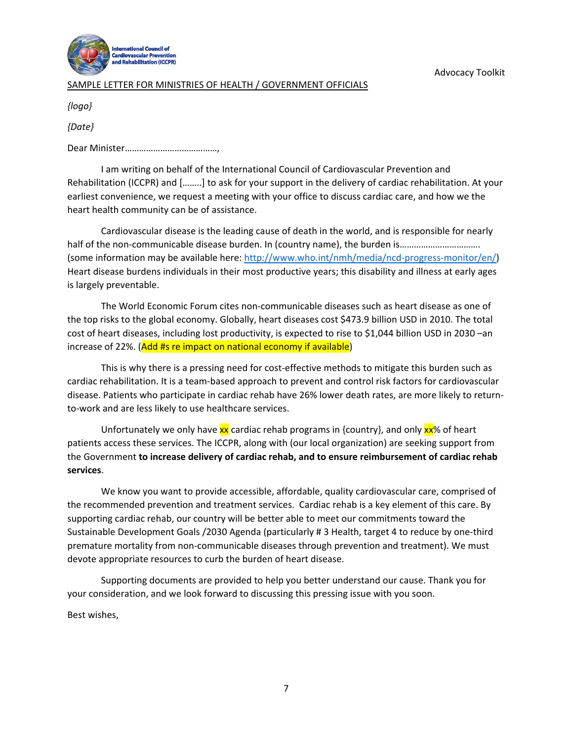

### SAMPLE LETTER FOR MINISTRIES OF HEALTH / GOVERNMENT OFFICIALS

*{logo}*

*{Date}*

Dear Minister…………………………………,

I am writing on behalf of the International Council of Cardiovascular Prevention and Rehabilitation (ICCPR) and [……..] to ask for your support in the delivery of cardiac rehabilitation. At your earliest convenience, we request a meeting with your office to discuss cardiac care, and how we the heart health community can be of assistance.

Cardiovascular disease is the leading cause of death in the world, and is responsible for nearly half of the non-communicable disease burden. In (country name), the burden is………………………………………………………… (some information may be available here: http://www.who.int/nmh/media/ncd‐progress‐monitor/en/) Heart disease burdens individuals in their most productive years; this disability and illness at early ages is largely preventable.

The World Economic Forum cites non‐communicable diseases such as heart disease as one of the top risks to the global economy. Globally, heart diseases cost \$473.9 billion USD in 2010. The total cost of heart diseases, including lost productivity, is expected to rise to \$1,044 billion USD in 2030 –an increase of 22%. (Add #s re impact on national economy if available)

This is why there is a pressing need for cost‐effective methods to mitigate this burden such as cardiac rehabilitation. It is a team‐based approach to prevent and control risk factors for cardiovascular disease. Patients who participate in cardiac rehab have 26% lower death rates, are more likely to return‐ to‐work and are less likely to use healthcare services.

Unfortunately we only have xx cardiac rehab programs in {country}, and only xx% of heart patients access these services. The ICCPR, along with (our local organization) are seeking support from the Government **to increase delivery of cardiac rehab, and to ensure reimbursement of cardiac rehab services**.

We know you want to provide accessible, affordable, quality cardiovascular care, comprised of the recommended prevention and treatment services. Cardiac rehab is a key element of this care. By supporting cardiac rehab, our country will be better able to meet our commitments toward the Sustainable Development Goals /2030 Agenda (particularly # 3 Health, target 4 to reduce by one‐third premature mortality from non‐communicable diseases through prevention and treatment). We must devote appropriate resources to curb the burden of heart disease.

Supporting documents are provided to help you better understand our cause. Thank you for your consideration, and we look forward to discussing this pressing issue with you soon.

Best wishes,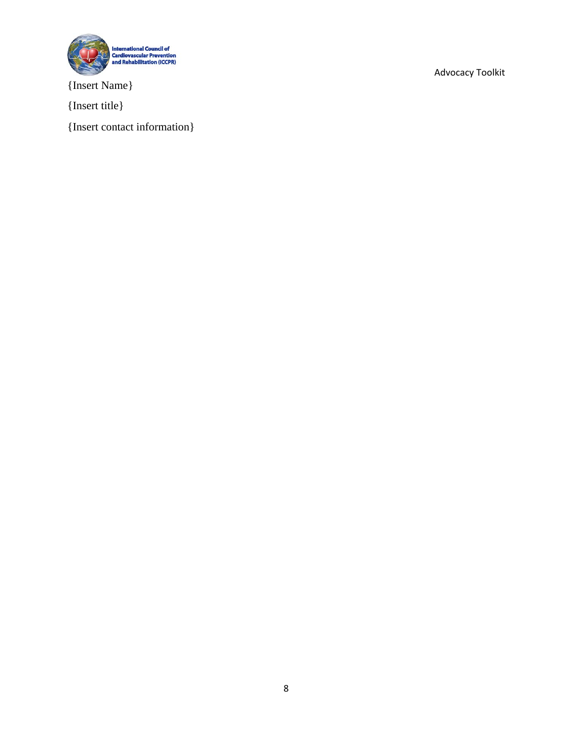

{Insert Name}

{Insert title}

{Insert contact information}

Advocacy Toolkit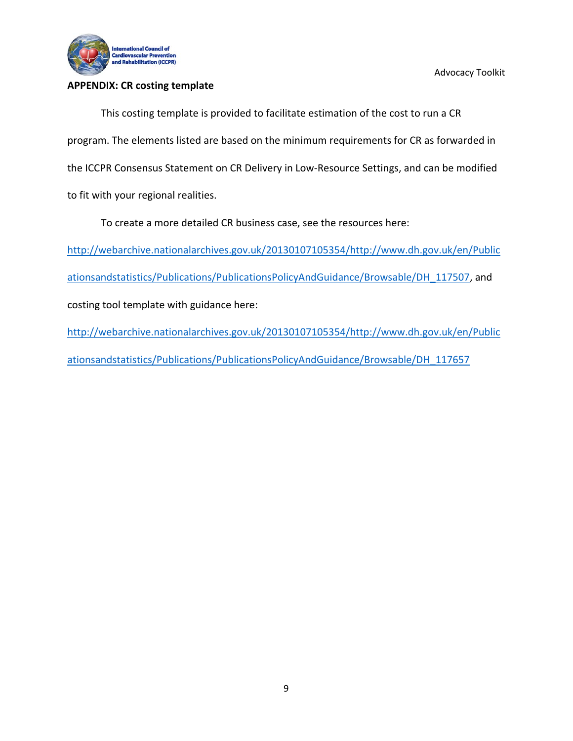

## **APPENDIX: CR costing template**

Advocacy Toolkit

This costing template is provided to facilitate estimation of the cost to run a CR program. The elements listed are based on the minimum requirements for CR as forwarded in the ICCPR Consensus Statement on CR Delivery in Low‐Resource Settings, and can be modified to fit with your regional realities.

To create a more detailed CR business case, see the resources here:

http://webarchive.nationalarchives.gov.uk/20130107105354/http://www.dh.gov.uk/en/Public

ationsandstatistics/Publications/PublicationsPolicyAndGuidance/Browsable/DH\_117507, and

costing tool template with guidance here:

http://webarchive.nationalarchives.gov.uk/20130107105354/http://www.dh.gov.uk/en/Public ationsandstatistics/Publications/PublicationsPolicyAndGuidance/Browsable/DH\_117657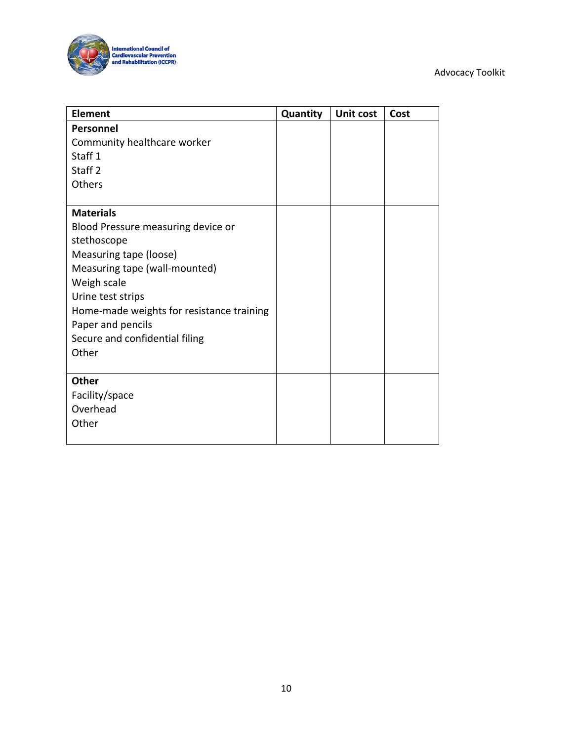## Advocacy Toolkit



| <b>Element</b>                            | Quantity | Unit cost | Cost |
|-------------------------------------------|----------|-----------|------|
| Personnel                                 |          |           |      |
| Community healthcare worker               |          |           |      |
| Staff <sub>1</sub>                        |          |           |      |
| Staff <sub>2</sub>                        |          |           |      |
| Others                                    |          |           |      |
|                                           |          |           |      |
| <b>Materials</b>                          |          |           |      |
| Blood Pressure measuring device or        |          |           |      |
| stethoscope                               |          |           |      |
| Measuring tape (loose)                    |          |           |      |
| Measuring tape (wall-mounted)             |          |           |      |
| Weigh scale                               |          |           |      |
| Urine test strips                         |          |           |      |
| Home-made weights for resistance training |          |           |      |
| Paper and pencils                         |          |           |      |
| Secure and confidential filing            |          |           |      |
| Other                                     |          |           |      |
|                                           |          |           |      |
| <b>Other</b>                              |          |           |      |
| Facility/space                            |          |           |      |
| Overhead                                  |          |           |      |
| Other                                     |          |           |      |
|                                           |          |           |      |